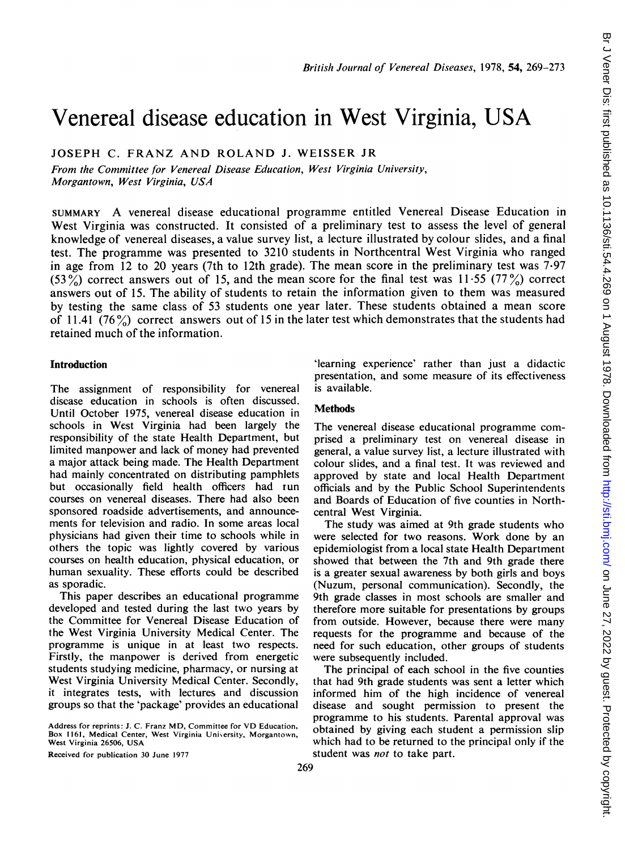# Venereal disease education in West Virginia, USA

JOSEPH C. FRANZ AND ROLAND J. WEISSER JR

From the Committee for Venereal Disease Education, West Virginia University, Morgantown, West Virginia, USA

SUMMARY A venereal disease educational programme entitled Venereal Disease Education in West Virginia was constructed. It consisted of a preliminary test to assess the level of general knowledge of venereal diseases, a value survey list, a lecture illustrated by colour slides, and a final test. The programme was presented to 3210 students in Northcentral West Virginia who ranged in age from 12 to 20 years (7th to 12th grade). The mean score in the preliminary test was 7-97  $(53\%)$  correct answers out of 15, and the mean score for the final test was 11.55 (77%) correct answers out of 15. The ability of students to retain the information given to them was measured by testing the same class of 53 students one year later. These students obtained a mean score of 11.41 (76%) correct answers out of 15 in the later test which demonstrates that the students had retained much of the information.

# Introduction

The assignment of responsibility for venereal disease education in schools is often discussed. Until October 1975, venereal disease education in schools in West Virginia had been largely the responsibility of the state Health Department, but limited manpower and lack of money had prevented a major attack being made. The Health Department had mainly concentrated on distributing pamphlets but occasionally field health officers had run courses on venereal diseases. There had also been sponsored roadside advertisements, and announcements for television and radio. In some areas local physicians had given their time to schools while in others the topic was lightly covered by various courses on health education, physical education, or human sexuality. These efforts could be described as sporadic.

This paper describes an educational programme developed and tested during the last two years by the Committee for Venereal Disease Education of the West Virginia University Medical Center. The programme is unique in at least two respects. Firstly, the manpower is derived from energetic students studying medicine, pharmacy, or nursing at West Virginia University Medical Center. Secondly, it integrates tests, with lectures and discussion groups so that the 'package' provides an educational

Address for reprints: J. C. Franz MD, Committee for VD Education, Box 1161, Medical Center, West Virginia University, Morgantown, West Virginia 26506, USA

Received for publication 30 June 1977

'learning experience' rather than just a didactic presentation, and some measure of its effectiveness is available.

### Methods

The venereal disease educational programme comprised a preliminary test on venereal disease in general, a value survey list, a lecture illustrated with colour slides, and a final test. It was reviewed and approved by state and local Health Department officials and by the Public School Superintendents and Boards of Education of five counties in Northcentral West Virginia.

The study was aimed at 9th grade students who were selected for two reasons. Work done by an epidemiologist from a local state Health Department showed that between the 7th and 9th grade there is a greater sexual awareness by both girls and boys (Nuzum, personal communication). Secondly, the 9th grade classes in most schools are smaller and therefore more suitable for presentations by groups from outside. However, because there were many requests for the programme and because of the need for such education, other groups of students were subsequently included.

The principal of each school in the five counties that had 9th grade students was sent a letter which informed him of the high incidence of venereal disease and sought permission to present the programme to his students. Parental approval was obtained by giving each student a permission slip which had to be returned to the principal only if the student was *not* to take part.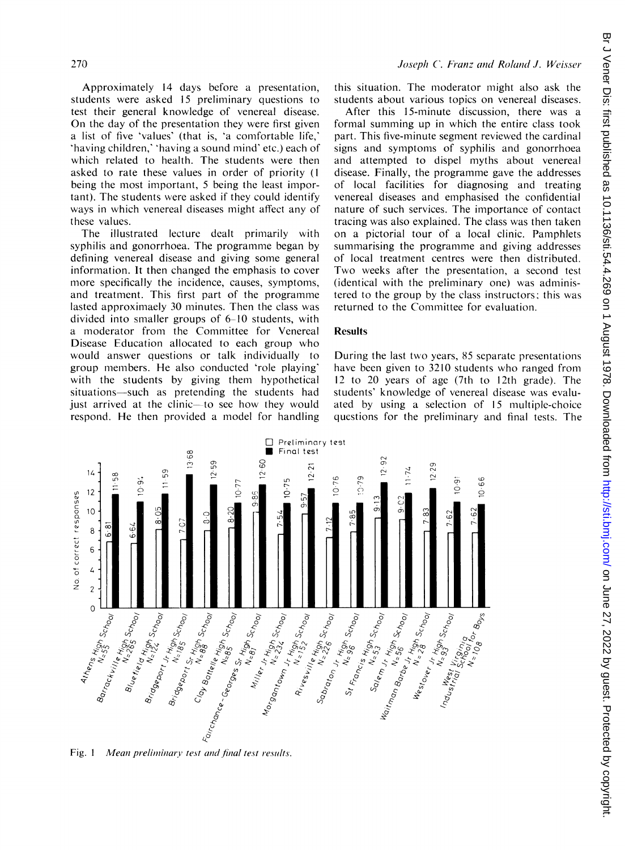Approximately 14 days before a presentation, students were asked 15 preliminary questions to test their general knowledge of venereal disease. On the day of the presentation they were first given a list of five 'values' (that is, 'a comfortable life,' 'having children,' 'having a sound mind' etc.) each of which related to health. The students were then asked to rate these values in order of priority (I being the most important, 5 being the least important). The students were asked if they could identify ways in which venereal diseases might affect any of these values.

The illustrated lecture dealt primarily with syphilis and gonorrhoea. The programme began by defining venereal disease and giving some general information. It then changed the emphasis to cover more specifically the incidence, causes, symptoms, and treatment. This first part of the programme lasted approximaely 30 minutes. Then the class was divided into smaller groups of 6-10 students, with a moderator from the Committee for Venereal Disease Education allocated to each group who would answer questions or talk individually to group members. He also conducted 'role playing' with the students by giving them hypothetical situations—such as pretending the students had just arrived at the clinic—to see how they would respond. He then provided a model for handling

this situation. The moderator might also ask the students about various topics on venereal diseases.

After this 15-minute discussion, there was a formal summing up in which the entire class took part. This five-minute segment reviewed the cardinal signs and symptoms of syphilis and gonorrhoea and attempted to dispel myths about venereal disease. Finally, the programme gave the addresses of local facilities for diagnosing and treating venereal diseases and emphasised the confidential nature of such services. The importance of contact tracing was also explained. The class was then taken on a pictorial tour of a local clinic. Pamphlets summarising the programme and giving addresses of local treatment centres were then distributed. Two weeks after the presentation, <sup>a</sup> second test (identical with the preliminary one) was administered to the group by the class instructors; this was returned to the Committee for evaluation.

### Results

During the last two years, 85 separate presentations have been given to 3210 students who ranged from 12 to 20 years of age (7th to 12th grade). The students' knowledge of venereal disease was evaluated by using a selection of 15 multiple-choice questions for the preliminary and final tests. The



Fig. 1 Mean preliminary test and final test results.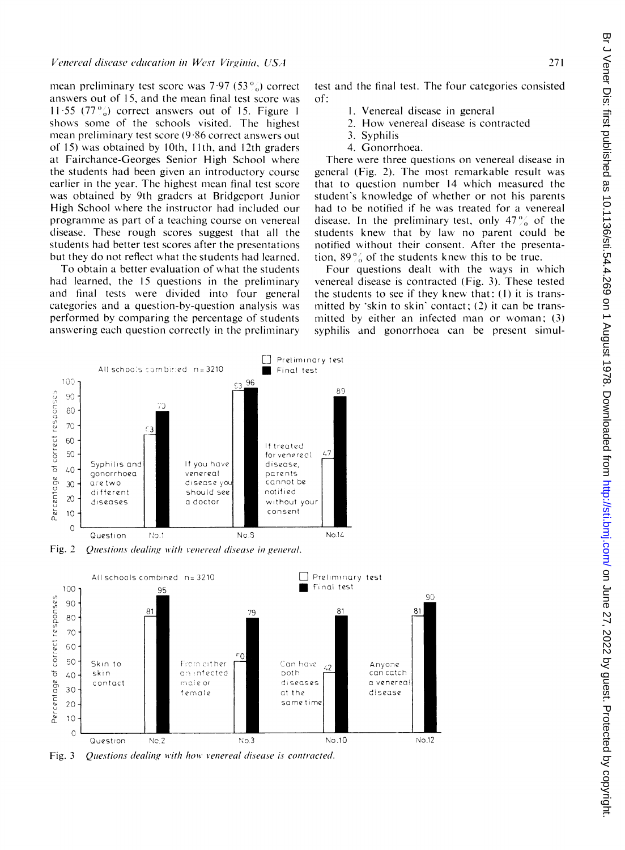mean preliminary test score was  $7.97$  (53 $\%$ ) correct answers out of 15, and the mean final test score was 11.55 (77 $\frac{9}{20}$ ) correct answers out of 15. Figure 1 shows some of the schools visited. The highest mean preliminary test score (9-86 correct answers out of 15) was obtained by 10th, <sup>I</sup> 1th, and 12th graders at Fairchance-Georges Senior High School where the students had been given an introductory course earlier in the year. The highest mean final test score was obtained by 9th graders at Bridgeport Junior High School where the instructor had included our programme as part of a teaching course on venereal disease. These rough scores suggest that all the students had better test scores after the presentations but they do not reflect what the students had learned.

To obtain a better evaluation of what the students had learned, the 15 questions in the preliminary and final tests were divided into four general categories and a question-by-question analysis was performed by comparing the percentage of students answering each question correctly in the preliminary

Venelrtetal disease education in West Virginia, USA2 test and the final test. The four categories consisted of:

- 1. Venereal disease in general
- 2. How venereal disease is contracted
- 3. Syphilis
- 4. Gonorrhoea.

There were three questions on venereal disease in general (Fig. 2). The most remarkable result was that to question number 14 which measured the student's knowledge of whether or not his parents had to be notified if he was treated for a venereal disease. In the preliminary test, only  $47\frac{\degree}{\degree}$  of the students knew that by law no parent could be notified without their consent. After the presentation,  $89\%$  of the students knew this to be true.

Four questions dealt with the ways in which venereal disease is contracted (Fig. 3). These tested the students to see if they knew that: (1) it is transmitted by 'skin to skin' contact;  $(2)$  it can be transmitted by either an infected man or woman; (3) syphilis and gonorrhoea can be present simul-



Fig. 2 Questions dealing with venereal disease in general.



Fig. 3 Ouestions dealing with how venereal disease is contracted.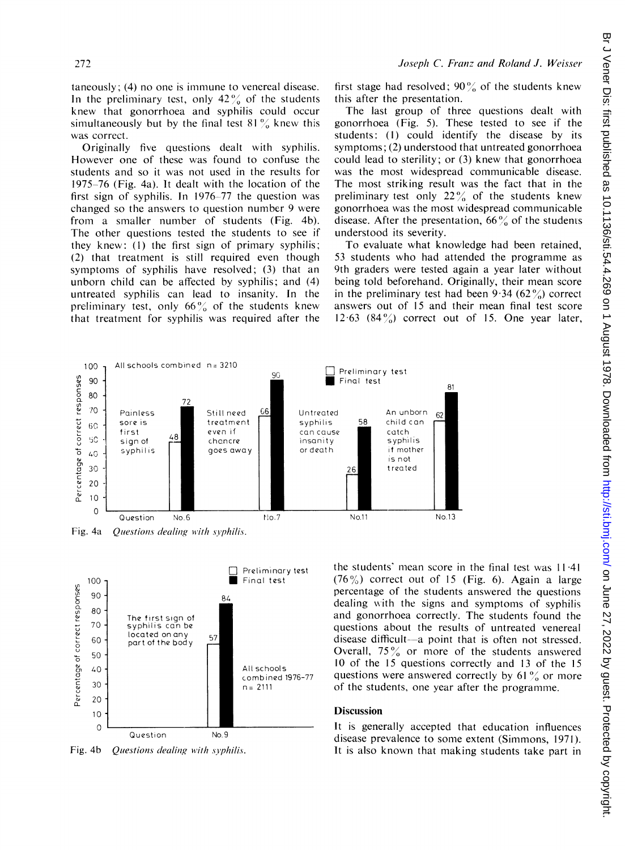taneously; (4) no one is immune to venereal disease. In the preliminary test, only  $42\%$  of the students knew that gonorrhoea and syphilis could occur simultaneously but by the final test  $81\%$  knew this was correct.

Originally five questions dealt with syphilis. However one of these was found to confuse the students and so it was not used in the results for 1975-76 (Fig. 4a). It dealt with the location of the first sign of syphilis. In 1976-77 the question was changed so the answers to question number 9 were from a smaller number of students (Fig. 4b). The other questions tested the students to see if they knew: (1) the first sign of primary syphilis; (2) that treatment is still required even though symptoms of syphilis have resolved; (3) that an unborn child can be affected by syphilis; and (4) untreated syphilis can lead to insanity. In the preliminary test, only  $66\%$  of the students knew that treatment for syphilis was required after the

first stage had resolved;  $90\%$  of the students knew this after the presentation.

The last group of three questions dealt with gonorrhoea (Fig. 5). These tested to see if the students: (1) could identify the disease by its symptoms; (2) understood that untreated gonorrhoea could lead to sterility; or (3) knew that gonorrhoea was the most widespread communicable disease. The most striking result was the fact that in the preliminary test only  $22\%$  of the students knew gonorrhoea was the most widespread communicable disease. After the presentation,  $66\%$  of the students understood its severity.

To evaluate what knowledge had been retained, 53 students who had attended the programme as 9th graders were tested again a year later without being told beforehand. Originally, their mean score in the preliminary test had been  $9.34$  (62%) correct answers out of 15 and their mean final test score 12.63  $(84\%)$  correct out of 15. One year later,







Fig. 4b Questions dealing with syphilis.

the students' mean score in the final test was <sup>11</sup> 41  $(76\%)$  correct out of 15 (Fig. 6). Again a large percentage of the students answered the questions dealing with the signs and symptoms of syphilis and gonorrhoea correctly. The students found the questions about the results of untreated venereal disease difficult-a point that is often not stressed. Overall,  $75\%$  or more of the students answered 10 of the 15 questions correctly and 13 of the 15 questions were answered correctly by 61 $\frac{9}{6}$  or more of the students, one year after the programme.

# **Discussion**

It is generally accepted that education influences disease prevalence to some extent (Simmons, 1971). It is also known that making students take part in